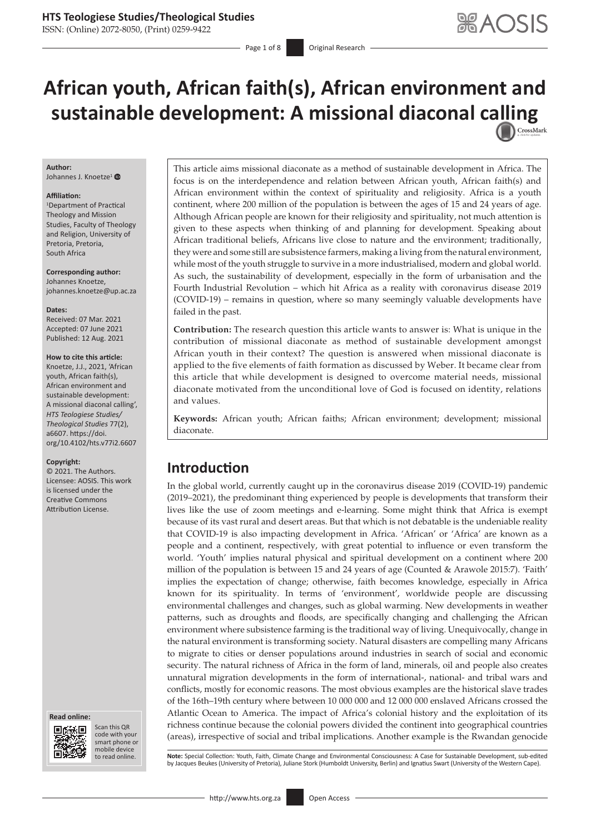ISSN: (Online) 2072-8050, (Print) 0259-9422

Page 1 of 8 **Original Research** 

# **African youth, African faith(s), African environment and sustainable development: A missional diaconal c[alling](http://crossmark.crossref.org/dialog/?doi=10.4102/hts.v77i2.6607=pdf&date_stamp=2021-08-12)**

### **Author:**

Johannes J. Knoetze<sup>[1](http://orcid.org/0000-0002-2342-2527)</sup>

#### **Affiliation:**

1 Department of Practical Theology and Mission Studies, Faculty of Theology and Religion, University of Pretoria, Pretoria, South Africa

**Corresponding author:** Johannes Knoetze, [johannes.knoetze@up.ac.za](mailto:johannes.knoetze@up.ac.za)

#### **Dates:**

Received: 07 Mar. 2021 Accepted: 07 June 2021 Published: 12 Aug. 2021

#### **How to cite this article:**

Knoetze, J.J., 2021, 'African youth, African faith(s), African environment and sustainable development: A missional diaconal calling', *HTS Teologiese Studies/ Theological Studies* 77(2), a6607. [https://doi.](https://doi.org/10.4102/hts.v77i2.6607) [org/10.4102/hts.v77i2.6607](https://doi.org/10.4102/hts.v77i2.6607)

#### **Copyright:**

© 2021. The Authors. Licensee: AOSIS. This work is licensed under the Creative Commons Attribution License.





Scan this QR code with your Scan this QR<br>code with your<br>smart phone or<br>mobile device mobile device to read online.

This article aims missional diaconate as a method of sustainable development in Africa. The focus is on the interdependence and relation between African youth, African faith(s) and African environment within the context of spirituality and religiosity. Africa is a youth continent, where 200 million of the population is between the ages of 15 and 24 years of age. Although African people are known for their religiosity and spirituality, not much attention is given to these aspects when thinking of and planning for development. Speaking about African traditional beliefs, Africans live close to nature and the environment; traditionally, they were and some still are subsistence farmers, making a living from the natural environment, while most of the youth struggle to survive in a more industrialised, modern and global world. As such, the sustainability of development, especially in the form of urbanisation and the Fourth Industrial Revolution – which hit Africa as a reality with coronavirus disease 2019 (COVID-19) – remains in question, where so many seemingly valuable developments have failed in the past.

**Contribution:** The research question this article wants to answer is: What is unique in the contribution of missional diaconate as method of sustainable development amongst African youth in their context? The question is answered when missional diaconate is applied to the five elements of faith formation as discussed by Weber. It became clear from this article that while development is designed to overcome material needs, missional diaconate motivated from the unconditional love of God is focused on identity, relations and values.

**Keywords:** African youth; African faiths; African environment; development; missional diaconate.

# **Introduction**

In the global world, currently caught up in the coronavirus disease 2019 (COVID-19) pandemic (2019–2021), the predominant thing experienced by people is developments that transform their lives like the use of zoom meetings and e-learning. Some might think that Africa is exempt because of its vast rural and desert areas. But that which is not debatable is the undeniable reality that COVID-19 is also impacting development in Africa. 'African' or 'Africa' are known as a people and a continent, respectively, with great potential to influence or even transform the world. 'Youth' implies natural physical and spiritual development on a continent where 200 million of the population is between 15 and 24 years of age (Counted & Arawole 2015:7). 'Faith' implies the expectation of change; otherwise, faith becomes knowledge, especially in Africa known for its spirituality. In terms of 'environment', worldwide people are discussing environmental challenges and changes, such as global warming. New developments in weather patterns, such as droughts and floods, are specifically changing and challenging the African environment where subsistence farming is the traditional way of living. Unequivocally, change in the natural environment is transforming society. Natural disasters are compelling many Africans to migrate to cities or denser populations around industries in search of social and economic security. The natural richness of Africa in the form of land, minerals, oil and people also creates unnatural migration developments in the form of international-, national- and tribal wars and conflicts, mostly for economic reasons. The most obvious examples are the historical slave trades of the 16th–19th century where between 10 000 000 and 12 000 000 enslaved Africans crossed the Atlantic Ocean to America. The impact of Africa's colonial history and the exploitation of its richness continue because the colonial powers divided the continent into geographical countries (areas), irrespective of social and tribal implications. Another example is the Rwandan genocide

to read online. **Note:** Special Collection: Youth, Faith, Climate Change and Environmental Consciousness: A Case for Sustainable Development, sub-edited<br>by Jacques Beukes (University of Pretoria), Juliane Stork (Humboldt U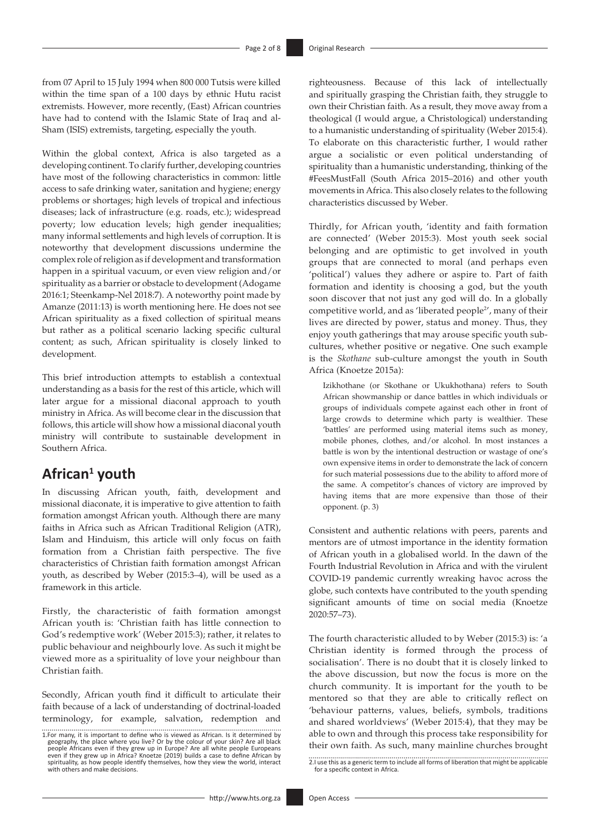from 07 April to 15 July 1994 when 800 000 Tutsis were killed within the time span of a 100 days by ethnic Hutu racist extremists. However, more recently, (East) African countries have had to contend with the Islamic State of Iraq and al-Sham (ISIS) extremists, targeting, especially the youth.

Within the global context, Africa is also targeted as a developing continent. To clarify further, developing countries have most of the following characteristics in common: little access to safe drinking water, sanitation and hygiene; energy problems or shortages; high levels of tropical and infectious diseases; lack of infrastructure (e.g. roads, etc.); widespread poverty; low education levels; high gender inequalities; many informal settlements and high levels of corruption. It is noteworthy that development discussions undermine the complex role of religion as if development and transformation happen in a spiritual vacuum, or even view religion and/or spirituality as a barrier or obstacle to development (Adogame 2016:1; Steenkamp-Nel 2018:7). A noteworthy point made by Amanze (2011:13) is worth mentioning here. He does not see African spirituality as a fixed collection of spiritual means but rather as a political scenario lacking specific cultural content; as such, African spirituality is closely linked to development.

This brief introduction attempts to establish a contextual understanding as a basis for the rest of this article, which will later argue for a missional diaconal approach to youth ministry in Africa. As will become clear in the discussion that follows, this article will show how a missional diaconal youth ministry will contribute to sustainable development in Southern Africa.

# **African<sup>1</sup> youth**

In discussing African youth, faith, development and missional diaconate, it is imperative to give attention to faith formation amongst African youth. Although there are many faiths in Africa such as African Traditional Religion (ATR), Islam and Hinduism, this article will only focus on faith formation from a Christian faith perspective. The five characteristics of Christian faith formation amongst African youth, as described by Weber (2015:3–4), will be used as a framework in this article.

Firstly, the characteristic of faith formation amongst African youth is: 'Christian faith has little connection to God's redemptive work' (Weber 2015:3); rather, it relates to public behaviour and neighbourly love. As such it might be viewed more as a spirituality of love your neighbour than Christian faith.

Secondly, African youth find it difficult to articulate their faith because of a lack of understanding of doctrinal-loaded terminology, for example, salvation, redemption and righteousness. Because of this lack of intellectually and spiritually grasping the Christian faith, they struggle to own their Christian faith. As a result, they move away from a theological (I would argue, a Christological) understanding to a humanistic understanding of spirituality (Weber 2015:4). To elaborate on this characteristic further, I would rather argue a socialistic or even political understanding of spirituality than a humanistic understanding, thinking of the #FeesMustFall (South Africa 2015–2016) and other youth movements in Africa. This also closely relates to the following characteristics discussed by Weber.

Thirdly, for African youth, 'identity and faith formation are connected' (Weber 2015:3). Most youth seek social belonging and are optimistic to get involved in youth groups that are connected to moral (and perhaps even 'political') values they adhere or aspire to. Part of faith formation and identity is choosing a god, but the youth soon discover that not just any god will do. In a globally competitive world, and as 'liberated people<sup>2'</sup>, many of their lives are directed by power, status and money. Thus, they enjoy youth gatherings that may arouse specific youth subcultures, whether positive or negative. One such example is the *Skothane* sub-culture amongst the youth in South Africa (Knoetze 2015a):

Izikhothane (or Skothane or Ukukhothana) refers to South African showmanship or dance battles in which individuals or groups of individuals compete against each other in front of large crowds to determine which party is wealthier. These 'battles' are performed using material items such as money, mobile phones, clothes, and/or alcohol. In most instances a battle is won by the intentional destruction or wastage of one's own expensive items in order to demonstrate the lack of concern for such material possessions due to the ability to afford more of the same. A competitor's chances of victory are improved by having items that are more expensive than those of their opponent. (p. 3)

Consistent and authentic relations with peers, parents and mentors are of utmost importance in the identity formation of African youth in a globalised world. In the dawn of the Fourth Industrial Revolution in Africa and with the virulent COVID-19 pandemic currently wreaking havoc across the globe, such contexts have contributed to the youth spending significant amounts of time on social media (Knoetze 2020:57–73).

The fourth characteristic alluded to by Weber (2015:3) is: 'a Christian identity is formed through the process of socialisation'. There is no doubt that it is closely linked to the above discussion, but now the focus is more on the church community. It is important for the youth to be mentored so that they are able to critically reflect on 'behaviour patterns, values, beliefs, symbols, traditions and shared worldviews' (Weber 2015:4), that they may be able to own and through this process take responsibility for their own faith. As such, many mainline churches brought

<sup>1.</sup>For many, it is important to define who is viewed as African. Is it determined by geography, the place where you live? Or by the colour of your skin? Are all black<br>people Africans even if they grew up in Europe? Are all white people Europeans<br>even if they grew up in Africa? Knoetze (2019) builds a case spirituality, as how people identify themselves, how they view the world, interact with others and make decisions.

<sup>2.</sup>I use this as a generic term to include all forms of liberation that might be applicable for a specific context in Africa.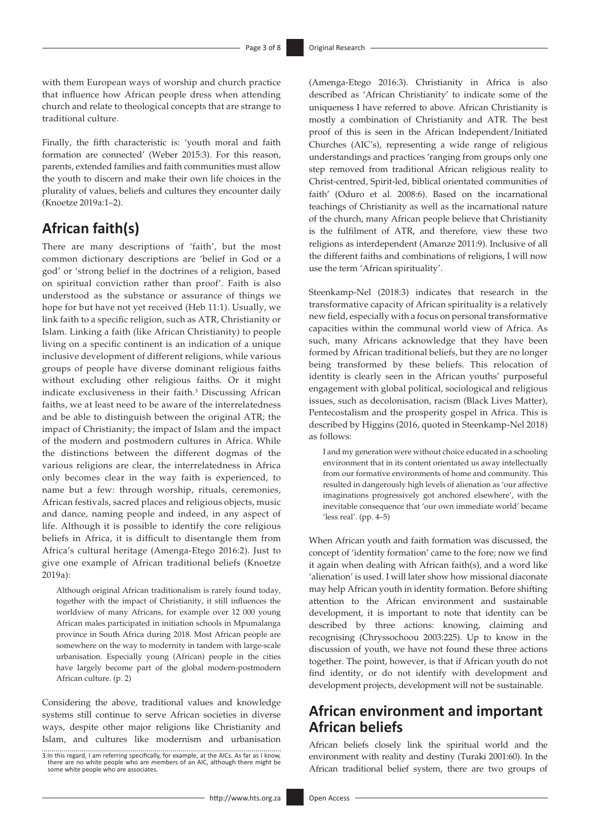with them European ways of worship and church practice that influence how African people dress when attending church and relate to theological concepts that are strange to traditional culture.

Finally, the fifth characteristic is: 'youth moral and faith formation are connected' (Weber 2015:3). For this reason, parents, extended families and faith communities must allow the youth to discern and make their own life choices in the plurality of values, beliefs and cultures they encounter daily (Knoetze 2019a:1–2).

# **African faith(s)**

There are many descriptions of 'faith', but the most common dictionary descriptions are 'belief in God or a god' or 'strong belief in the doctrines of a religion, based on spiritual conviction rather than proof'. Faith is also understood as the substance or assurance of things we hope for but have not yet received (Heb 11:1). Usually, we link faith to a specific religion, such as ATR, Christianity or Islam. Linking a faith (like African Christianity) to people living on a specific continent is an indication of a unique inclusive development of different religions, while various groups of people have diverse dominant religious faiths without excluding other religious faiths. Or it might indicate exclusiveness in their faith.3 Discussing African faiths, we at least need to be aware of the interrelatedness and be able to distinguish between the original ATR; the impact of Christianity; the impact of Islam and the impact of the modern and postmodern cultures in Africa. While the distinctions between the different dogmas of the various religions are clear, the interrelatedness in Africa only becomes clear in the way faith is experienced, to name but a few: through worship, rituals, ceremonies, African festivals, sacred places and religious objects, music and dance, naming people and indeed, in any aspect of life. Although it is possible to identify the core religious beliefs in Africa, it is difficult to disentangle them from Africa's cultural heritage (Amenga-Etego 2016:2). Just to give one example of African traditional beliefs (Knoetze 2019a):

Although original African traditionalism is rarely found today, together with the impact of Christianity, it still influences the worldview of many Africans, for example over 12 000 young African males participated in initiation schools in Mpumalanga province in South Africa during 2018. Most African people are somewhere on the way to modernity in tandem with large-scale urbanisation. Especially young (African) people in the cities have largely become part of the global modern-postmodern African culture. (p. 2)

Considering the above, traditional values and knowledge systems still continue to serve African societies in diverse ways, despite other major religions like Christianity and Islam, and cultures like modernism and urbanisation (Amenga-Etego 2016:3). Christianity in Africa is also described as 'African Christianity' to indicate some of the uniqueness I have referred to above. African Christianity is mostly a combination of Christianity and ATR. The best proof of this is seen in the African Independent/Initiated Churches (AIC's), representing a wide range of religious understandings and practices 'ranging from groups only one step removed from traditional African religious reality to Christ-centred, Spirit-led, biblical orientated communities of faith' (Oduro et al. 2008:6). Based on the incarnational teachings of Christianity as well as the incarnational nature of the church, many African people believe that Christianity is the fulfilment of ATR, and therefore, view these two religions as interdependent (Amanze 2011:9). Inclusive of all the different faiths and combinations of religions, I will now use the term 'African spirituality'.

Steenkamp-Nel (2018:3) indicates that research in the transformative capacity of African spirituality is a relatively new field, especially with a focus on personal transformative capacities within the communal world view of Africa. As such, many Africans acknowledge that they have been formed by African traditional beliefs, but they are no longer being transformed by these beliefs. This relocation of identity is clearly seen in the African youths' purposeful engagement with global political, sociological and religious issues, such as decolonisation, racism (Black Lives Matter), Pentecostalism and the prosperity gospel in Africa. This is described by Higgins (2016, quoted in Steenkamp-Nel 2018) as follows:

I and my generation were without choice educated in a schooling environment that in its content orientated us away intellectually from our formative environments of home and community. This resulted in dangerously high levels of alienation as 'our affective imaginations progressively got anchored elsewhere', with the inevitable consequence that 'our own immediate world' became 'less real'. (pp. 4–5)

When African youth and faith formation was discussed, the concept of 'identity formation' came to the fore; now we find it again when dealing with African faith(s), and a word like 'alienation' is used. I will later show how missional diaconate may help African youth in identity formation. Before shifting attention to the African environment and sustainable development, it is important to note that identity can be described by three actions: knowing, claiming and recognising (Chryssochoou 2003:225). Up to know in the discussion of youth, we have not found these three actions together. The point, however, is that if African youth do not find identity, or do not identify with development and development projects, development will not be sustainable.

## **African environment and important African beliefs**

African beliefs closely link the spiritual world and the environment with reality and destiny (Turaki 2001:60). In the African traditional belief system, there are two groups of

<sup>3.</sup>In this regard, I am referring specifically, for example, at the AICs. As far as I know, there are no white people who are members of an AIC, although there might be some white people who are associates.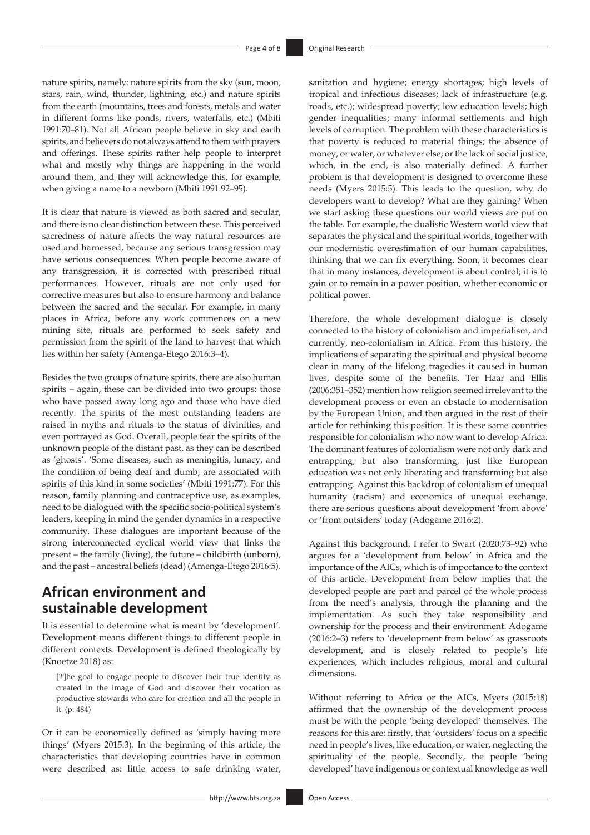nature spirits, namely: nature spirits from the sky (sun, moon, stars, rain, wind, thunder, lightning, etc.) and nature spirits from the earth (mountains, trees and forests, metals and water in different forms like ponds, rivers, waterfalls, etc.) (Mbiti 1991:70–81). Not all African people believe in sky and earth spirits, and believers do not always attend to them with prayers and offerings. These spirits rather help people to interpret what and mostly why things are happening in the world around them, and they will acknowledge this, for example, when giving a name to a newborn (Mbiti 1991:92–95).

It is clear that nature is viewed as both sacred and secular, and there is no clear distinction between these. This perceived sacredness of nature affects the way natural resources are used and harnessed, because any serious transgression may have serious consequences. When people become aware of any transgression, it is corrected with prescribed ritual performances. However, rituals are not only used for corrective measures but also to ensure harmony and balance between the sacred and the secular. For example, in many places in Africa, before any work commences on a new mining site, rituals are performed to seek safety and permission from the spirit of the land to harvest that which lies within her safety (Amenga-Etego 2016:3–4).

Besides the two groups of nature spirits, there are also human spirits – again, these can be divided into two groups: those who have passed away long ago and those who have died recently. The spirits of the most outstanding leaders are raised in myths and rituals to the status of divinities, and even portrayed as God. Overall, people fear the spirits of the unknown people of the distant past, as they can be described as 'ghosts'. 'Some diseases, such as meningitis, lunacy, and the condition of being deaf and dumb, are associated with spirits of this kind in some societies' (Mbiti 1991:77). For this reason, family planning and contraceptive use, as examples, need to be dialogued with the specific socio-political system's leaders, keeping in mind the gender dynamics in a respective community. These dialogues are important because of the strong interconnected cyclical world view that links the present – the family (living), the future – childbirth (unborn), and the past – ancestral beliefs (dead) (Amenga-Etego 2016:5).

### **African environment and sustainable development**

It is essential to determine what is meant by 'development'. Development means different things to different people in different contexts. Development is defined theologically by (Knoetze 2018) as:

[*T*]he goal to engage people to discover their true identity as created in the image of God and discover their vocation as productive stewards who care for creation and all the people in it. (p. 484)

Or it can be economically defined as 'simply having more things' (Myers 2015:3). In the beginning of this article, the characteristics that developing countries have in common were described as: little access to safe drinking water,

sanitation and hygiene; energy shortages; high levels of tropical and infectious diseases; lack of infrastructure (e.g. roads, etc.); widespread poverty; low education levels; high gender inequalities; many informal settlements and high levels of corruption. The problem with these characteristics is that poverty is reduced to material things; the absence of money, or water, or whatever else; or the lack of social justice, which, in the end, is also materially defined. A further problem is that development is designed to overcome these needs (Myers 2015:5). This leads to the question, why do developers want to develop? What are they gaining? When we start asking these questions our world views are put on the table. For example, the dualistic Western world view that separates the physical and the spiritual worlds, together with our modernistic overestimation of our human capabilities, thinking that we can fix everything. Soon, it becomes clear that in many instances, development is about control; it is to gain or to remain in a power position, whether economic or political power.

Therefore, the whole development dialogue is closely connected to the history of colonialism and imperialism, and currently, neo-colonialism in Africa. From this history, the implications of separating the spiritual and physical become clear in many of the lifelong tragedies it caused in human lives, despite some of the benefits. Ter Haar and Ellis (2006:351–352) mention how religion seemed irrelevant to the development process or even an obstacle to modernisation by the European Union, and then argued in the rest of their article for rethinking this position. It is these same countries responsible for colonialism who now want to develop Africa. The dominant features of colonialism were not only dark and entrapping, but also transforming, just like European education was not only liberating and transforming but also entrapping. Against this backdrop of colonialism of unequal humanity (racism) and economics of unequal exchange, there are serious questions about development 'from above' or 'from outsiders' today (Adogame 2016:2).

Against this background, I refer to Swart (2020:73–92) who argues for a 'development from below' in Africa and the importance of the AICs, which is of importance to the context of this article. Development from below implies that the developed people are part and parcel of the whole process from the need's analysis, through the planning and the implementation. As such they take responsibility and ownership for the process and their environment. Adogame (2016:2–3) refers to 'development from below' as grassroots development, and is closely related to people's life experiences, which includes religious, moral and cultural dimensions.

Without referring to Africa or the AICs, Myers (2015:18) affirmed that the ownership of the development process must be with the people 'being developed' themselves. The reasons for this are: firstly, that 'outsiders' focus on a specific need in people's lives, like education, or water, neglecting the spirituality of the people. Secondly, the people 'being developed' have indigenous or contextual knowledge as well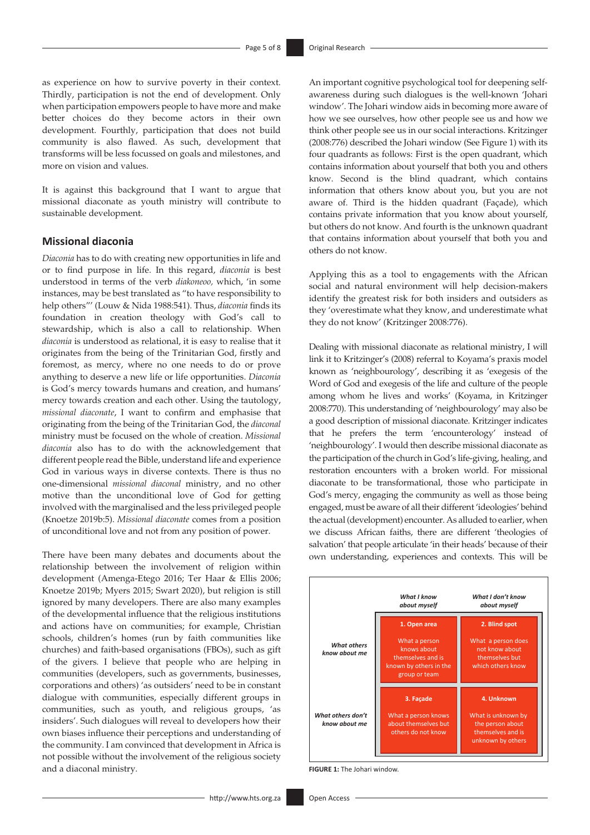as experience on how to survive poverty in their context. Thirdly, participation is not the end of development. Only when participation empowers people to have more and make better choices do they become actors in their own development. Fourthly, participation that does not build community is also flawed. As such, development that transforms will be less focussed on goals and milestones, and more on vision and values.

It is against this background that I want to argue that missional diaconate as youth ministry will contribute to sustainable development.

#### **Missional diaconia**

*Diaconia* has to do with creating new opportunities in life and or to find purpose in life. In this regard, *diaconia* is best understood in terms of the verb *diakoneoo,* which, 'in some instances, may be best translated as "to have responsibility to help others"' (Louw & Nida 1988:541). Thus, *diaconia* finds its foundation in creation theology with God's call to stewardship, which is also a call to relationship. When *diaconia* is understood as relational, it is easy to realise that it originates from the being of the Trinitarian God, firstly and foremost, as mercy, where no one needs to do or prove anything to deserve a new life or life opportunities. *Diaconia* is God's mercy towards humans and creation, and humans' mercy towards creation and each other. Using the tautology, *missional diaconate*, I want to confirm and emphasise that originating from the being of the Trinitarian God, the *diaconal*  ministry must be focused on the whole of creation. *Missional diaconia* also has to do with the acknowledgement that different people read the Bible, understand life and experience God in various ways in diverse contexts. There is thus no one-dimensional *missional diaconal* ministry, and no other motive than the unconditional love of God for getting involved with the marginalised and the less privileged people (Knoetze 2019b:5). *Missional diaconate* comes from a position of unconditional love and not from any position of power.

There have been many debates and documents about the relationship between the involvement of religion within development (Amenga-Etego 2016; Ter Haar & Ellis 2006; Knoetze 2019b; Myers 2015; Swart 2020), but religion is still ignored by many developers. There are also many examples of the developmental influence that the religious institutions and actions have on communities; for example, Christian schools, children's homes (run by faith communities like churches) and faith-based organisations (FBOs), such as gift of the givers*.* I believe that people who are helping in communities (developers, such as governments, businesses, corporations and others) 'as outsiders' need to be in constant dialogue with communities, especially different groups in communities, such as youth, and religious groups, 'as insiders'. Such dialogues will reveal to developers how their own biases influence their perceptions and understanding of the community. I am convinced that development in Africa is not possible without the involvement of the religious society and a diaconal ministry.

An important cognitive psychological tool for deepening selfawareness during such dialogues is the well-known 'Johari window'. The Johari window aids in becoming more aware of how we see ourselves, how other people see us and how we think other people see us in our social interactions. Kritzinger (2008:776) described the Johari window (See Figure 1) with its four quadrants as follows: First is the open quadrant, which contains information about yourself that both you and others know. Second is the blind quadrant, which contains information that others know about you, but you are not aware of. Third is the hidden quadrant (Façade), which contains private information that you know about yourself, but others do not know. And fourth is the unknown quadrant that contains information about yourself that both you and others do not know.

Applying this as a tool to engagements with the African social and natural environment will help decision-makers identify the greatest risk for both insiders and outsiders as they 'overestimate what they know, and underestimate what they do not know' (Kritzinger 2008:776).

Dealing with missional diaconate as relational ministry, I will link it to Kritzinger's (2008) referral to Koyama's praxis model known as 'neighbourology', describing it as 'exegesis of the Word of God and exegesis of the life and culture of the people among whom he lives and works' (Koyama, in Kritzinger 2008:770). This understanding of 'neighbourology' may also be a good description of missional diaconate. Kritzinger indicates that he prefers the term 'encounterology' instead of 'neighbourology'. I would then describe missional diaconate as the participation of the church in God's life-giving, healing, and restoration encounters with a broken world. For missional diaconate to be transformational, those who participate in God's mercy, engaging the community as well as those being engaged, must be aware of all their different 'ideologies' behind the actual (development) encounter. As alluded to earlier, when we discuss African faiths, there are different 'theologies of salvation' that people articulate 'in their heads' because of their own understanding, experiences and contexts. This will be



**FIGURE 1:** The Johari window.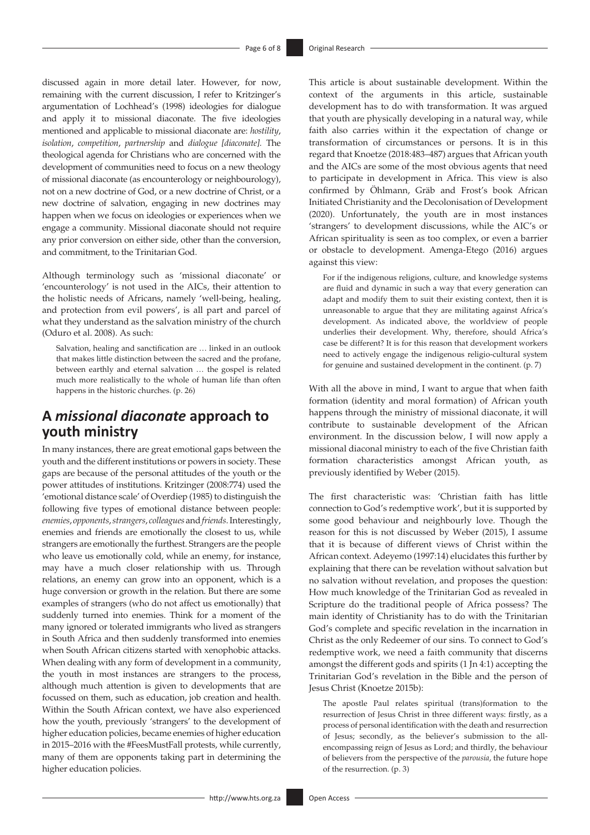discussed again in more detail later. However, for now, remaining with the current discussion, I refer to Kritzinger's argumentation of Lochhead's (1998) ideologies for dialogue and apply it to missional diaconate. The five ideologies mentioned and applicable to missional diaconate are: *hostility*, *isolation*, *competition*, *partnership* and *dialogue [diaconate].* The theological agenda for Christians who are concerned with the development of communities need to focus on a new theology of missional diaconate (as encounterology or neighbourology), not on a new doctrine of God, or a new doctrine of Christ, or a new doctrine of salvation, engaging in new doctrines may happen when we focus on ideologies or experiences when we engage a community. Missional diaconate should not require any prior conversion on either side, other than the conversion, and commitment, to the Trinitarian God.

Although terminology such as 'missional diaconate' or 'encounterology' is not used in the AICs, their attention to the holistic needs of Africans, namely 'well-being, healing, and protection from evil powers', is all part and parcel of what they understand as the salvation ministry of the church (Oduro et al. 2008). As such:

Salvation, healing and sanctification are … linked in an outlook that makes little distinction between the sacred and the profane, between earthly and eternal salvation … the gospel is related much more realistically to the whole of human life than often happens in the historic churches. (p. 26)

### **A** *missional diaconate* **approach to youth ministry**

In many instances, there are great emotional gaps between the youth and the different institutions or powers in society. These gaps are because of the personal attitudes of the youth or the power attitudes of institutions. Kritzinger (2008:774) used the 'emotional distance scale' of Overdiep (1985) to distinguish the following five types of emotional distance between people: *enemies*, *opponents*, *strangers*, *colleagues* and *friends*. Interestingly, enemies and friends are emotionally the closest to us, while strangers are emotionally the furthest. Strangers are the people who leave us emotionally cold, while an enemy, for instance, may have a much closer relationship with us. Through relations, an enemy can grow into an opponent, which is a huge conversion or growth in the relation. But there are some examples of strangers (who do not affect us emotionally) that suddenly turned into enemies. Think for a moment of the many ignored or tolerated immigrants who lived as strangers in South Africa and then suddenly transformed into enemies when South African citizens started with xenophobic attacks. When dealing with any form of development in a community, the youth in most instances are strangers to the process, although much attention is given to developments that are focussed on them, such as education, job creation and health. Within the South African context, we have also experienced how the youth, previously 'strangers' to the development of higher education policies, became enemies of higher education in 2015–2016 with the #FeesMustFall protests, while currently, many of them are opponents taking part in determining the higher education policies.

This article is about sustainable development. Within the context of the arguments in this article, sustainable development has to do with transformation. It was argued that youth are physically developing in a natural way, while faith also carries within it the expectation of change or transformation of circumstances or persons. It is in this regard that Knoetze (2018:483–487) argues that African youth and the AICs are some of the most obvious agents that need to participate in development in Africa. This view is also confirmed by Öhlmann, Gräb and Frost's book African Initiated Christianity and the Decolonisation of Development (2020). Unfortunately, the youth are in most instances 'strangers' to development discussions, while the AIC's or African spirituality is seen as too complex, or even a barrier or obstacle to development. Amenga-Etego (2016) argues against this view:

For if the indigenous religions, culture, and knowledge systems are fluid and dynamic in such a way that every generation can adapt and modify them to suit their existing context, then it is unreasonable to argue that they are militating against Africa's development. As indicated above, the worldview of people underlies their development. Why, therefore, should Africa's case be different? It is for this reason that development workers need to actively engage the indigenous religio-cultural system for genuine and sustained development in the continent. (p. 7)

With all the above in mind, I want to argue that when faith formation (identity and moral formation) of African youth happens through the ministry of missional diaconate, it will contribute to sustainable development of the African environment. In the discussion below, I will now apply a missional diaconal ministry to each of the five Christian faith formation characteristics amongst African youth, as previously identified by Weber (2015).

The first characteristic was: 'Christian faith has little connection to God's redemptive work', but it is supported by some good behaviour and neighbourly love. Though the reason for this is not discussed by Weber (2015), I assume that it is because of different views of Christ within the African context. Adeyemo (1997:14) elucidates this further by explaining that there can be revelation without salvation but no salvation without revelation, and proposes the question: How much knowledge of the Trinitarian God as revealed in Scripture do the traditional people of Africa possess? The main identity of Christianity has to do with the Trinitarian God's complete and specific revelation in the incarnation in Christ as the only Redeemer of our sins. To connect to God's redemptive work, we need a faith community that discerns amongst the different gods and spirits (1 Jn 4:1) accepting the Trinitarian God's revelation in the Bible and the person of Jesus Christ (Knoetze 2015b):

The apostle Paul relates spiritual (trans)formation to the resurrection of Jesus Christ in three different ways: firstly, as a process of personal identification with the death and resurrection of Jesus; secondly, as the believer's submission to the allencompassing reign of Jesus as Lord; and thirdly, the behaviour of believers from the perspective of the *parousia*, the future hope of the resurrection. (p. 3)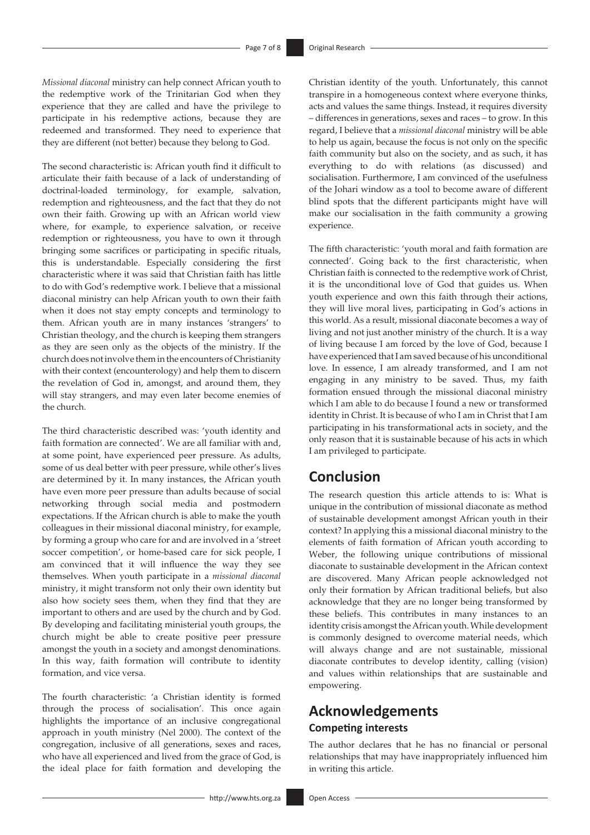*Missional diaconal* ministry can help connect African youth to the redemptive work of the Trinitarian God when they experience that they are called and have the privilege to participate in his redemptive actions, because they are redeemed and transformed. They need to experience that they are different (not better) because they belong to God.

The second characteristic is: African youth find it difficult to articulate their faith because of a lack of understanding of doctrinal-loaded terminology, for example, salvation, redemption and righteousness, and the fact that they do not own their faith. Growing up with an African world view where, for example, to experience salvation, or receive redemption or righteousness, you have to own it through bringing some sacrifices or participating in specific rituals, this is understandable. Especially considering the first characteristic where it was said that Christian faith has little to do with God's redemptive work. I believe that a missional diaconal ministry can help African youth to own their faith when it does not stay empty concepts and terminology to them. African youth are in many instances 'strangers' to Christian theology, and the church is keeping them strangers as they are seen only as the objects of the ministry. If the church does not involve them in the encounters of Christianity with their context (encounterology) and help them to discern the revelation of God in, amongst, and around them, they will stay strangers, and may even later become enemies of the church.

The third characteristic described was: 'youth identity and faith formation are connected'. We are all familiar with and, at some point, have experienced peer pressure. As adults, some of us deal better with peer pressure, while other's lives are determined by it. In many instances, the African youth have even more peer pressure than adults because of social networking through social media and postmodern expectations. If the African church is able to make the youth colleagues in their missional diaconal ministry, for example, by forming a group who care for and are involved in a 'street soccer competition', or home-based care for sick people, I am convinced that it will influence the way they see themselves. When youth participate in a *missional diaconal* ministry, it might transform not only their own identity but also how society sees them, when they find that they are important to others and are used by the church and by God. By developing and facilitating ministerial youth groups, the church might be able to create positive peer pressure amongst the youth in a society and amongst denominations. In this way, faith formation will contribute to identity formation, and vice versa.

The fourth characteristic: 'a Christian identity is formed through the process of socialisation'. This once again highlights the importance of an inclusive congregational approach in youth ministry (Nel 2000). The context of the congregation, inclusive of all generations, sexes and races, who have all experienced and lived from the grace of God, is the ideal place for faith formation and developing the Christian identity of the youth. Unfortunately, this cannot transpire in a homogeneous context where everyone thinks, acts and values the same things. Instead, it requires diversity – differences in generations, sexes and races – to grow. In this regard, I believe that a *missional diaconal* ministry will be able to help us again, because the focus is not only on the specific faith community but also on the society, and as such, it has everything to do with relations (as discussed) and socialisation. Furthermore, I am convinced of the usefulness of the Johari window as a tool to become aware of different blind spots that the different participants might have will make our socialisation in the faith community a growing experience.

The fifth characteristic: 'youth moral and faith formation are connected'. Going back to the first characteristic, when Christian faith is connected to the redemptive work of Christ, it is the unconditional love of God that guides us. When youth experience and own this faith through their actions, they will live moral lives, participating in God's actions in this world. As a result, missional diaconate becomes a way of living and not just another ministry of the church. It is a way of living because I am forced by the love of God, because I have experienced that I am saved because of his unconditional love. In essence, I am already transformed, and I am not engaging in any ministry to be saved. Thus, my faith formation ensued through the missional diaconal ministry which I am able to do because I found a new or transformed identity in Christ. It is because of who I am in Christ that I am participating in his transformational acts in society, and the only reason that it is sustainable because of his acts in which I am privileged to participate.

### **Conclusion**

The research question this article attends to is: What is unique in the contribution of missional diaconate as method of sustainable development amongst African youth in their context? In applying this a missional diaconal ministry to the elements of faith formation of African youth according to Weber, the following unique contributions of missional diaconate to sustainable development in the African context are discovered. Many African people acknowledged not only their formation by African traditional beliefs, but also acknowledge that they are no longer being transformed by these beliefs. This contributes in many instances to an identity crisis amongst the African youth. While development is commonly designed to overcome material needs, which will always change and are not sustainable, missional diaconate contributes to develop identity, calling (vision) and values within relationships that are sustainable and empowering.

### **Acknowledgements Competing interests**

The author declares that he has no financial or personal relationships that may have inappropriately influenced him in writing this article.